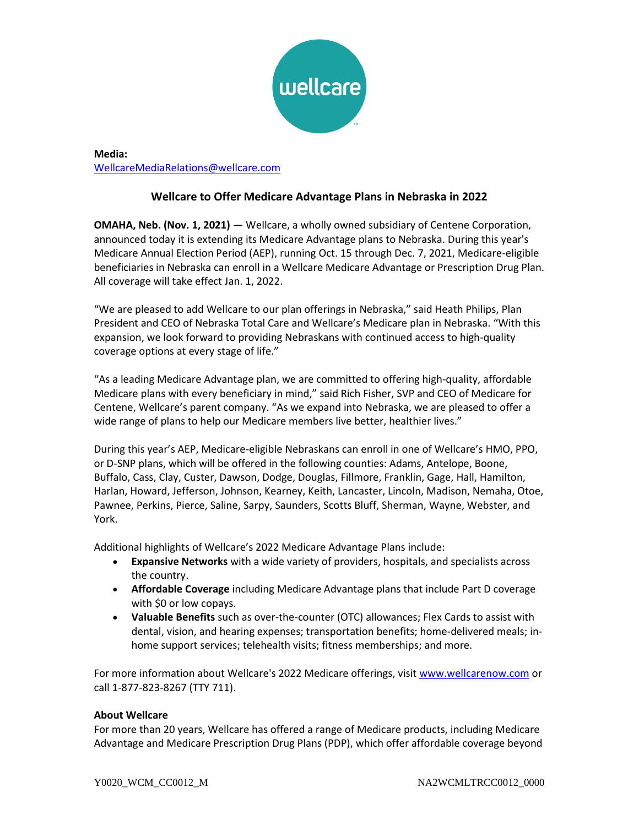

**Media:** [WellcareMediaRelations@wellcare.com](mailto:WellcareMediaRelations@wellcare.com)

# **Wellcare to Offer Medicare Advantage Plans in Nebraska in 2022**

**OMAHA, Neb. (Nov. 1, 2021)** — Wellcare, a wholly owned subsidiary of Centene Corporation, announced today it is extending its Medicare Advantage plans to Nebraska. During this year's Medicare Annual Election Period (AEP), running Oct. 15 through Dec. 7, 2021, Medicare-eligible beneficiaries in Nebraska can enroll in a Wellcare Medicare Advantage or Prescription Drug Plan. All coverage will take effect Jan. 1, 2022.

"We are pleased to add Wellcare to our plan offerings in Nebraska," said Heath Philips, Plan President and CEO of Nebraska Total Care and Wellcare's Medicare plan in Nebraska. "With this expansion, we look forward to providing Nebraskans with continued access to high-quality coverage options at every stage of life."

"As a leading Medicare Advantage plan, we are committed to offering high-quality, affordable Medicare plans with every beneficiary in mind," said Rich Fisher, SVP and CEO of Medicare for Centene, Wellcare's parent company. "As we expand into Nebraska, we are pleased to offer a wide range of plans to help our Medicare members live better, healthier lives."

During this year's AEP, Medicare-eligible Nebraskans can enroll in one of Wellcare's HMO, PPO, or D-SNP plans, which will be offered in the following counties: Adams, Antelope, Boone, Buffalo, Cass, Clay, Custer, Dawson, Dodge, Douglas, Fillmore, Franklin, Gage, Hall, Hamilton, Harlan, Howard, Jefferson, Johnson, Kearney, Keith, Lancaster, Lincoln, Madison, Nemaha, Otoe, Pawnee, Perkins, Pierce, Saline, Sarpy, Saunders, Scotts Bluff, Sherman, Wayne, Webster, and York.

Additional highlights of Wellcare's 2022 Medicare Advantage Plans include:

- **Expansive Networks** with a wide variety of providers, hospitals, and specialists across the country.
- **Affordable Coverage** including Medicare Advantage plans that include Part D coverage with \$0 or low copays.
- **Valuable Benefits** such as over-the-counter (OTC) allowances; Flex Cards to assist with dental, vision, and hearing expenses; transportation benefits; home-delivered meals; inhome support services; telehealth visits; fitness memberships; and more.

For more information about Wellcare's 2022 Medicare offerings, visit [www.wellcarenow.com](http://www.wellcarenow.com/) or call 1-877-823-8267 (TTY 711).

## **About Wellcare**

For more than 20 years, Wellcare has offered a range of Medicare products, including Medicare Advantage and Medicare Prescription Drug Plans (PDP), which offer affordable coverage beyond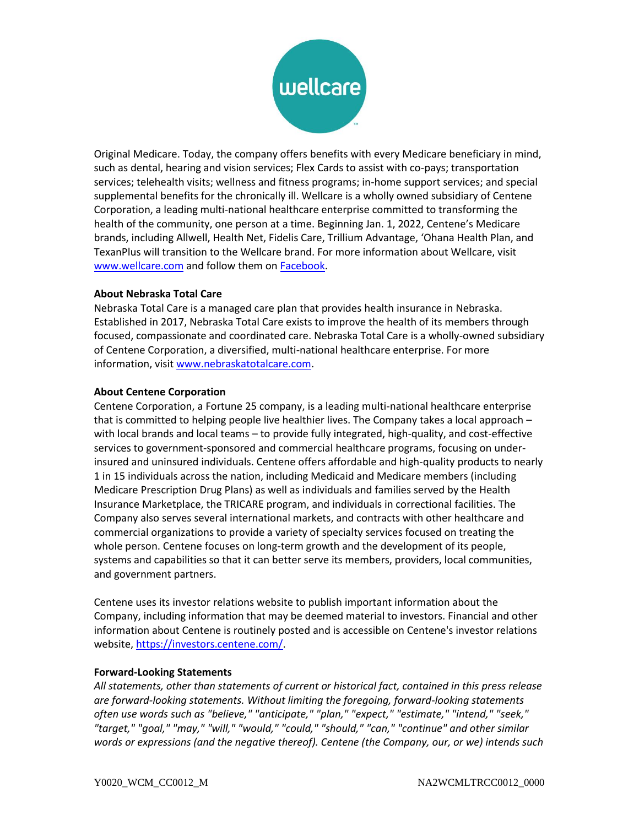

Original Medicare. Today, the company offers benefits with every Medicare beneficiary in mind, such as dental, hearing and vision services; Flex Cards to assist with co-pays; transportation services; telehealth visits; wellness and fitness programs; in-home support services; and special supplemental benefits for the chronically ill. Wellcare is a wholly owned subsidiary of Centene Corporation, a leading multi-national healthcare enterprise committed to transforming the health of the community, one person at a time. Beginning Jan. 1, 2022, Centene's Medicare brands, including Allwell, Health Net, Fidelis Care, Trillium Advantage, 'Ohana Health Plan, and TexanPlus will transition to the Wellcare brand. For more information about Wellcare, visit [www.wellcare.com](http://www.wellcare.com/) and follow them o[n Facebook.](https://www.facebook.com/WellcareMedicare)

## **About Nebraska Total Care**

Nebraska Total Care is a managed care plan that provides health insurance in Nebraska. Established in 2017, Nebraska Total Care exists to improve the health of its members through focused, compassionate and coordinated care. Nebraska Total Care is a wholly-owned subsidiary of Centene Corporation, a diversified, multi-national healthcare enterprise. For more information, visit [www.nebraskatotalcare.com.](http://www.nebraskatotalcare.com/)

## **About Centene Corporation**

Centene Corporation, a Fortune 25 company, is a leading multi-national healthcare enterprise that is committed to helping people live healthier lives. The Company takes a local approach – with local brands and local teams – to provide fully integrated, high-quality, and cost-effective services to government-sponsored and commercial healthcare programs, focusing on underinsured and uninsured individuals. Centene offers affordable and high-quality products to nearly 1 in 15 individuals across the nation, including Medicaid and Medicare members (including Medicare Prescription Drug Plans) as well as individuals and families served by the Health Insurance Marketplace, the TRICARE program, and individuals in correctional facilities. The Company also serves several international markets, and contracts with other healthcare and commercial organizations to provide a variety of specialty services focused on treating the whole person. Centene focuses on long-term growth and the development of its people, systems and capabilities so that it can better serve its members, providers, local communities, and government partners.

Centene uses its investor relations website to publish important information about the Company, including information that may be deemed material to investors. Financial and other information about Centene is routinely posted and is accessible on Centene's investor relations website, [https://investors.centene.com/.](https://investors.centene.com/)

### **Forward-Looking Statements**

*All statements, other than statements of current or historical fact, contained in this press release are forward-looking statements. Without limiting the foregoing, forward-looking statements often use words such as "believe," "anticipate," "plan," "expect," "estimate," "intend," "seek," "target," "goal," "may," "will," "would," "could," "should," "can," "continue" and other similar words or expressions (and the negative thereof). Centene (the Company, our, or we) intends such*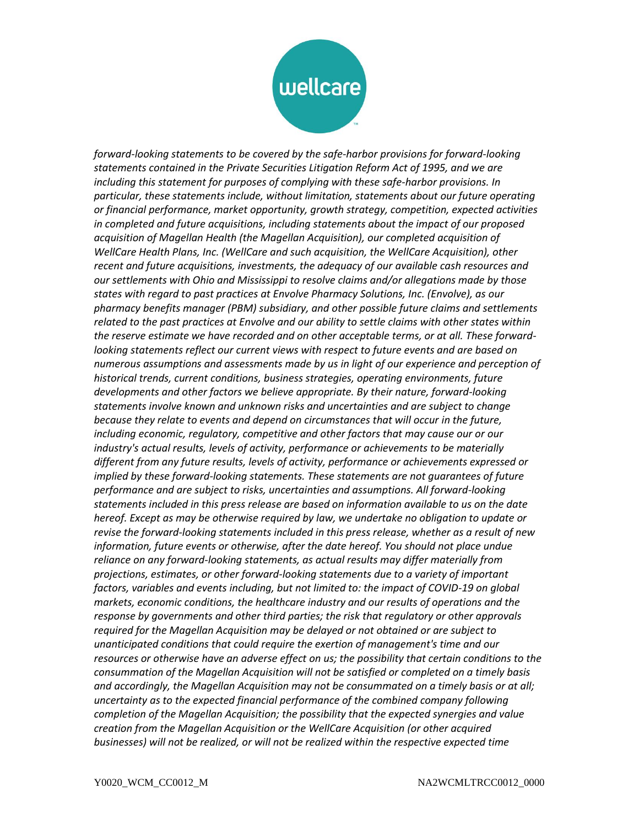

*forward-looking statements to be covered by the safe-harbor provisions for forward-looking statements contained in the Private Securities Litigation Reform Act of 1995, and we are including this statement for purposes of complying with these safe-harbor provisions. In particular, these statements include, without limitation, statements about our future operating or financial performance, market opportunity, growth strategy, competition, expected activities in completed and future acquisitions, including statements about the impact of our proposed acquisition of Magellan Health (the Magellan Acquisition), our completed acquisition of WellCare Health Plans, Inc. (WellCare and such acquisition, the WellCare Acquisition), other recent and future acquisitions, investments, the adequacy of our available cash resources and our settlements with Ohio and Mississippi to resolve claims and/or allegations made by those states with regard to past practices at Envolve Pharmacy Solutions, Inc. (Envolve), as our pharmacy benefits manager (PBM) subsidiary, and other possible future claims and settlements related to the past practices at Envolve and our ability to settle claims with other states within the reserve estimate we have recorded and on other acceptable terms, or at all. These forwardlooking statements reflect our current views with respect to future events and are based on numerous assumptions and assessments made by us in light of our experience and perception of historical trends, current conditions, business strategies, operating environments, future developments and other factors we believe appropriate. By their nature, forward-looking statements involve known and unknown risks and uncertainties and are subject to change because they relate to events and depend on circumstances that will occur in the future, including economic, regulatory, competitive and other factors that may cause our or our industry's actual results, levels of activity, performance or achievements to be materially different from any future results, levels of activity, performance or achievements expressed or implied by these forward-looking statements. These statements are not guarantees of future performance and are subject to risks, uncertainties and assumptions. All forward-looking statements included in this press release are based on information available to us on the date hereof. Except as may be otherwise required by law, we undertake no obligation to update or revise the forward-looking statements included in this press release, whether as a result of new information, future events or otherwise, after the date hereof. You should not place undue reliance on any forward-looking statements, as actual results may differ materially from projections, estimates, or other forward-looking statements due to a variety of important factors, variables and events including, but not limited to: the impact of COVID-19 on global markets, economic conditions, the healthcare industry and our results of operations and the response by governments and other third parties; the risk that regulatory or other approvals required for the Magellan Acquisition may be delayed or not obtained or are subject to unanticipated conditions that could require the exertion of management's time and our resources or otherwise have an adverse effect on us; the possibility that certain conditions to the consummation of the Magellan Acquisition will not be satisfied or completed on a timely basis and accordingly, the Magellan Acquisition may not be consummated on a timely basis or at all; uncertainty as to the expected financial performance of the combined company following completion of the Magellan Acquisition; the possibility that the expected synergies and value creation from the Magellan Acquisition or the WellCare Acquisition (or other acquired businesses) will not be realized, or will not be realized within the respective expected time*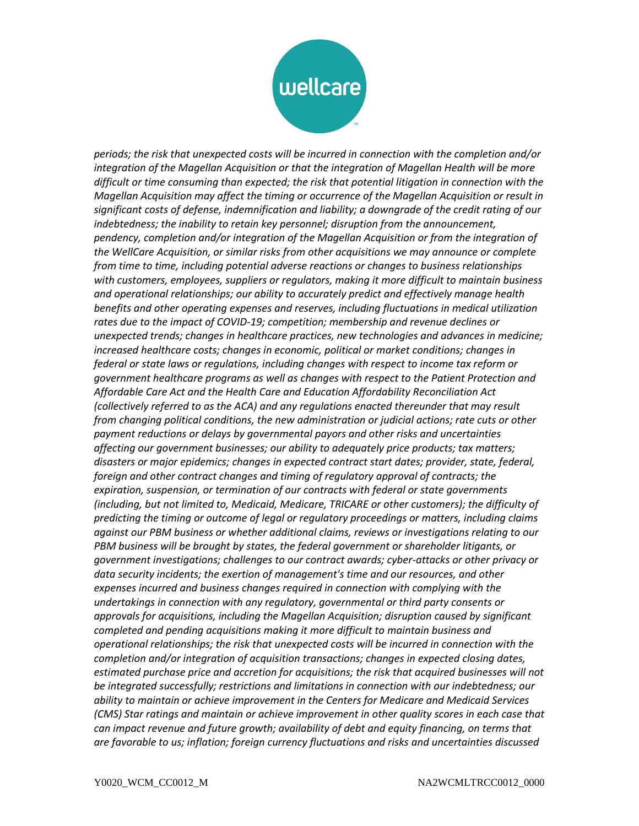

*periods; the risk that unexpected costs will be incurred in connection with the completion and/or integration of the Magellan Acquisition or that the integration of Magellan Health will be more difficult or time consuming than expected; the risk that potential litigation in connection with the Magellan Acquisition may affect the timing or occurrence of the Magellan Acquisition or result in significant costs of defense, indemnification and liability; a downgrade of the credit rating of our indebtedness; the inability to retain key personnel; disruption from the announcement, pendency, completion and/or integration of the Magellan Acquisition or from the integration of the WellCare Acquisition, or similar risks from other acquisitions we may announce or complete from time to time, including potential adverse reactions or changes to business relationships with customers, employees, suppliers or regulators, making it more difficult to maintain business and operational relationships; our ability to accurately predict and effectively manage health benefits and other operating expenses and reserves, including fluctuations in medical utilization rates due to the impact of COVID-19; competition; membership and revenue declines or unexpected trends; changes in healthcare practices, new technologies and advances in medicine; increased healthcare costs; changes in economic, political or market conditions; changes in federal or state laws or regulations, including changes with respect to income tax reform or government healthcare programs as well as changes with respect to the Patient Protection and Affordable Care Act and the Health Care and Education Affordability Reconciliation Act (collectively referred to as the ACA) and any regulations enacted thereunder that may result from changing political conditions, the new administration or judicial actions; rate cuts or other payment reductions or delays by governmental payors and other risks and uncertainties affecting our government businesses; our ability to adequately price products; tax matters; disasters or major epidemics; changes in expected contract start dates; provider, state, federal, foreign and other contract changes and timing of regulatory approval of contracts; the expiration, suspension, or termination of our contracts with federal or state governments (including, but not limited to, Medicaid, Medicare, TRICARE or other customers); the difficulty of predicting the timing or outcome of legal or regulatory proceedings or matters, including claims against our PBM business or whether additional claims, reviews or investigations relating to our PBM business will be brought by states, the federal government or shareholder litigants, or government investigations; challenges to our contract awards; cyber-attacks or other privacy or data security incidents; the exertion of management's time and our resources, and other expenses incurred and business changes required in connection with complying with the undertakings in connection with any regulatory, governmental or third party consents or approvals for acquisitions, including the Magellan Acquisition; disruption caused by significant completed and pending acquisitions making it more difficult to maintain business and operational relationships; the risk that unexpected costs will be incurred in connection with the completion and/or integration of acquisition transactions; changes in expected closing dates, estimated purchase price and accretion for acquisitions; the risk that acquired businesses will not be integrated successfully; restrictions and limitations in connection with our indebtedness; our ability to maintain or achieve improvement in the Centers for Medicare and Medicaid Services (CMS) Star ratings and maintain or achieve improvement in other quality scores in each case that can impact revenue and future growth; availability of debt and equity financing, on terms that are favorable to us; inflation; foreign currency fluctuations and risks and uncertainties discussed*